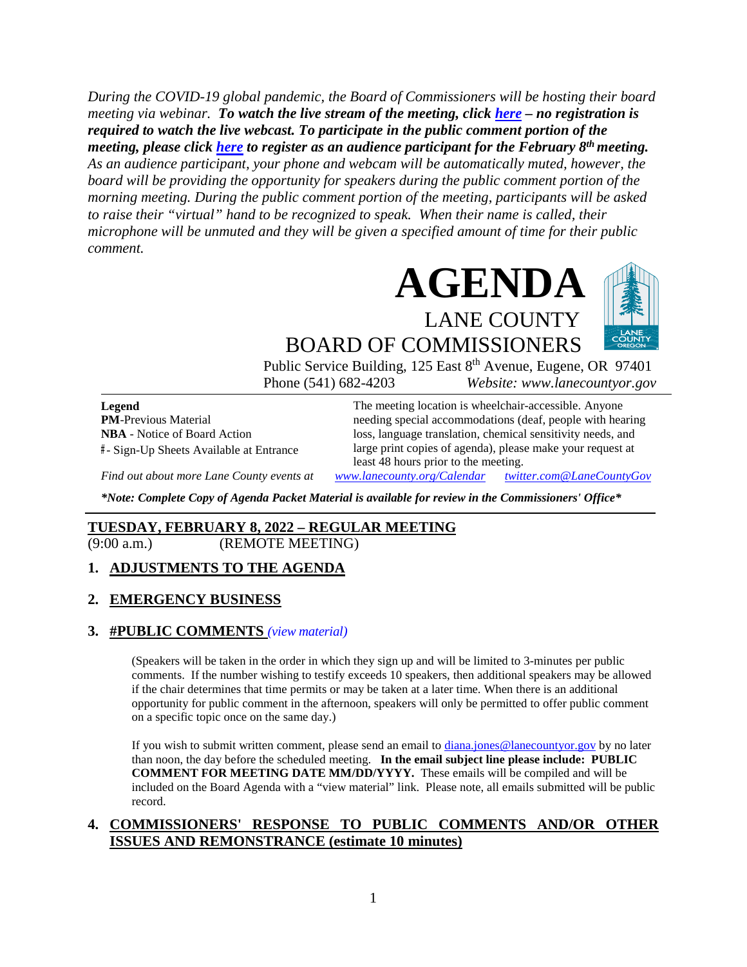*During the COVID-19 global pandemic, the Board of Commissioners will be hosting their board meeting via webinar. To watch the live stream of the meeting, click [here](https://lanecounty.org/cms/One.aspx?portalId=3585881&pageId=7842434) – no registration is required to watch the live webcast. To participate in the public comment portion of the meeting, please click [here](https://us06web.zoom.us/webinar/register/WN_vEqTpnGDRO64-ByBpd6pxQ) to register as an audience participant for the February 8th meeting. As an audience participant, your phone and webcam will be automatically muted, however, the board will be providing the opportunity for speakers during the public comment portion of the morning meeting. During the public comment portion of the meeting, participants will be asked to raise their "virtual" hand to be recognized to speak. When their name is called, their microphone will be unmuted and they will be given a specified amount of time for their public comment.* 





BOARD OF COMMISSIONERS Public Service Building, 125 East 8<sup>th</sup> Avenue, Eugene, OR 97401

Phone (541) 682-4203 *Website: www.lanecountyor.gov*

**Legend PM**-Previous Material **NBA** - Notice of Board Action **#** - Sign-Up Sheets Available at Entrance

The meeting location is wheelchair-accessible. Anyone needing special accommodations (deaf, people with hearing loss, language translation, chemical sensitivity needs, and large print copies of agenda), please make your request at least 48 hours prior to the meeting.

*Find out about more Lane County events at [www.lanecounty.org/Calendar](http://www.lanecounty.org/Calendar) [twitter.com@LaneCountyGov](https://twitter.com/lanecountygov?lang=en)*

*\*Note: Complete Copy of Agenda Packet Material is available for review in the Commissioners' Office\**

## **TUESDAY, FEBRUARY 8, 2022 – REGULAR MEETING**

(9:00 a.m.) (REMOTE MEETING)

### **1. ADJUSTMENTS TO THE AGENDA**

### **2. EMERGENCY BUSINESS**

#### **3. #PUBLIC COMMENTS** *(view [material\)](http://www.lanecountyor.gov/UserFiles/Servers/Server_3585797/File/Government/BCC/2022/2022_AGENDAS/020822agenda/T.3.pdf)*

(Speakers will be taken in the order in which they sign up and will be limited to 3-minutes per public comments. If the number wishing to testify exceeds 10 speakers, then additional speakers may be allowed if the chair determines that time permits or may be taken at a later time. When there is an additional opportunity for public comment in the afternoon, speakers will only be permitted to offer public comment on a specific topic once on the same day.)

If you wish to submit written comment, please send an email to [diana.jones@lanecountyor.gov](mailto:diana.jones@lanecountyor.gov) by no later than noon, the day before the scheduled meeting. **In the email subject line please include: PUBLIC COMMENT FOR MEETING DATE MM/DD/YYYY.** These emails will be compiled and will be included on the Board Agenda with a "view material" link. Please note, all emails submitted will be public record.

### **4. COMMISSIONERS' RESPONSE TO PUBLIC COMMENTS AND/OR OTHER ISSUES AND REMONSTRANCE (estimate 10 minutes)**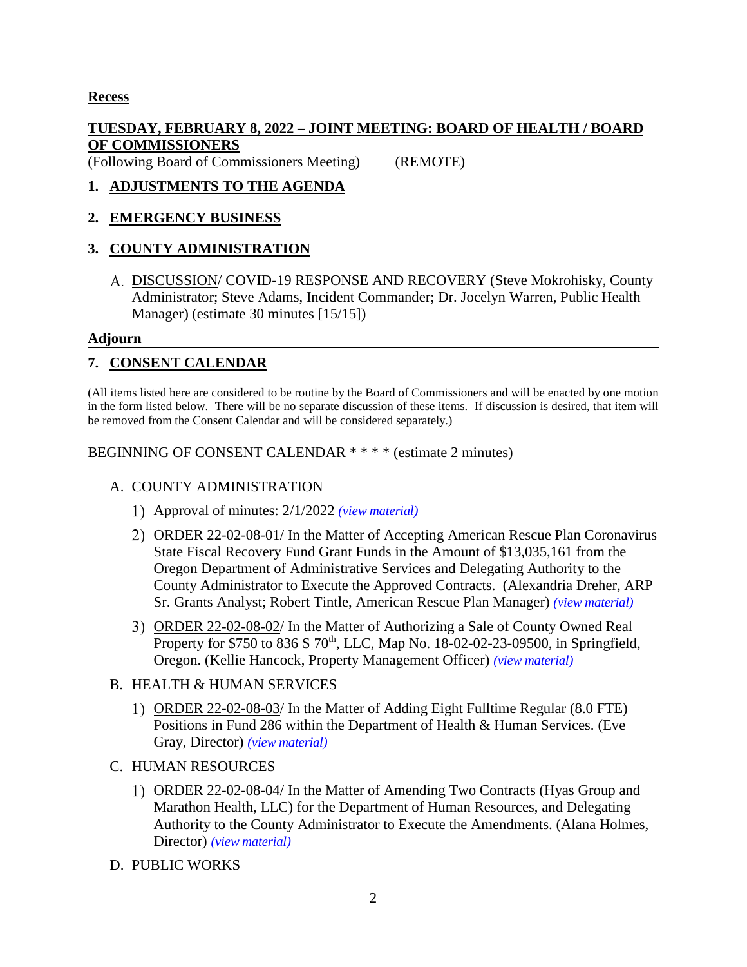## **Recess**

## **TUESDAY, FEBRUARY 8, 2022 – JOINT MEETING: BOARD OF HEALTH / BOARD OF COMMISSIONERS**

(Following Board of Commissioners Meeting) (REMOTE)

## **1. ADJUSTMENTS TO THE AGENDA**

## **2. EMERGENCY BUSINESS**

## **3. COUNTY ADMINISTRATION**

DISCUSSION/ COVID-19 RESPONSE AND RECOVERY (Steve Mokrohisky, County Administrator; Steve Adams, Incident Commander; Dr. Jocelyn Warren, Public Health Manager) (estimate 30 minutes [15/15])

### **Adjourn**

## **7. CONSENT CALENDAR**

(All items listed here are considered to be routine by the Board of Commissioners and will be enacted by one motion in the form listed below. There will be no separate discussion of these items. If discussion is desired, that item will be removed from the Consent Calendar and will be considered separately.)

BEGINNING OF CONSENT CALENDAR \* \* \* \* (estimate 2 minutes)

## A. COUNTY ADMINISTRATION

- Approval of minutes: 2/1/2022 *(view [material\)](http://www.lanecountyor.gov/UserFiles/Servers/Server_3585797/File/Government/BCC/2022/2022_AGENDAS/020822agenda/T.7.A.1.pdf)*
- ORDER 22-02-08-01/ In the Matter of Accepting American Rescue Plan Coronavirus State Fiscal Recovery Fund Grant Funds in the Amount of \$13,035,161 from the Oregon Department of Administrative Services and Delegating Authority to the County Administrator to Execute the Approved Contracts. (Alexandria Dreher, ARP Sr. Grants Analyst; Robert Tintle, American Rescue Plan Manager) *(view [material\)](http://www.lanecountyor.gov/UserFiles/Servers/Server_3585797/File/Government/BCC/2022/2022_AGENDAS/020822agenda/T.7.A.2.pdf)*
- ORDER 22-02-08-02/ In the Matter of Authorizing a Sale of County Owned Real Property for \$750 to 836 S 70<sup>th</sup>, LLC, Map No. 18-02-02-23-09500, in Springfield, Oregon. (Kellie Hancock, Property Management Officer) *(view [material\)](http://www.lanecountyor.gov/UserFiles/Servers/Server_3585797/File/Government/BCC/2022/2022_AGENDAS/020822agenda/T.7.A.3.pdf)*

### B. HEALTH & HUMAN SERVICES

- ORDER 22-02-08-03/ In the Matter of Adding Eight Fulltime Regular (8.0 FTE) Positions in Fund 286 within the Department of Health & Human Services. (Eve Gray, Director) *(view [material\)](http://www.lanecountyor.gov/UserFiles/Servers/Server_3585797/File/Government/BCC/2022/2022_AGENDAS/020822agenda/T.7.B.1.pdf)*
- C. HUMAN RESOURCES
	- 1) ORDER 22-02-08-04/ In the Matter of Amending Two Contracts (Hyas Group and Marathon Health, LLC) for the Department of Human Resources, and Delegating Authority to the County Administrator to Execute the Amendments. (Alana Holmes, Director) *(view [material\)](http://www.lanecountyor.gov/UserFiles/Servers/Server_3585797/File/Government/BCC/2022/2022_AGENDAS/020822agenda/T.7.C.1.pdf)*
- D. PUBLIC WORKS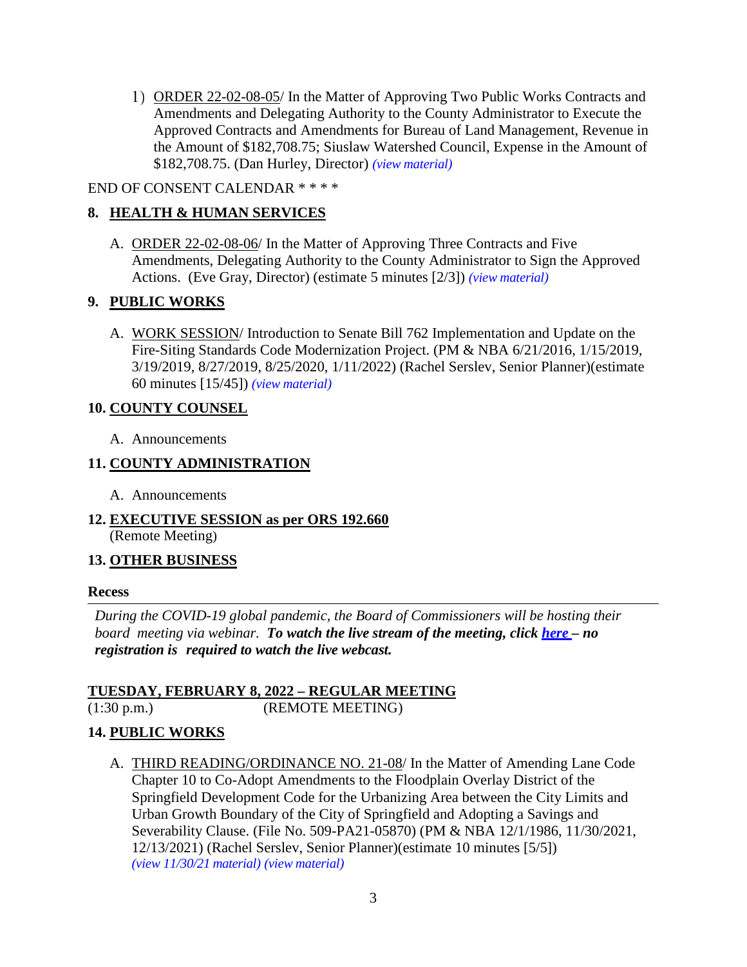1) ORDER 22-02-08-05/ In the Matter of Approving Two Public Works Contracts and Amendments and Delegating Authority to the County Administrator to Execute the Approved Contracts and Amendments for Bureau of Land Management, Revenue in the Amount of \$182,708.75; Siuslaw Watershed Council, Expense in the Amount of \$182,708.75. (Dan Hurley, Director) *(view [material\)](http://www.lanecountyor.gov/UserFiles/Servers/Server_3585797/File/Government/BCC/2022/2022_AGENDAS/020822agenda/T.7.D.1.pdf)*

## END OF CONSENT CALENDAR \* \* \* \*

# **8. HEALTH & HUMAN SERVICES**

A. ORDER 22-02-08-06/ In the Matter of Approving Three Contracts and Five Amendments, Delegating Authority to the County Administrator to Sign the Approved Actions. (Eve Gray, Director) (estimate 5 minutes [2/3]) *(view [material\)](http://www.lanecountyor.gov/UserFiles/Servers/Server_3585797/File/Government/BCC/2022/2022_AGENDAS/020822agenda/T.8.A.pdf)*

## **9. PUBLIC WORKS**

A. WORK SESSION/ Introduction to Senate Bill 762 Implementation and Update on the Fire-Siting Standards Code Modernization Project. (PM & NBA 6/21/2016, 1/15/2019, 3/19/2019, 8/27/2019, 8/25/2020, 1/11/2022) (Rachel Serslev, Senior Planner)(estimate 60 minutes [15/45]) *(view [material\)](http://www.lanecountyor.gov/UserFiles/Servers/Server_3585797/File/Government/BCC/2022/2022_AGENDAS/020822agenda/T.9.A.pdf)*

### **10. COUNTY COUNSEL**

A. Announcements

## **11. COUNTY ADMINISTRATION**

- A. Announcements
- **12. EXECUTIVE SESSION as per ORS 192.660** (Remote Meeting)

## **13. OTHER BUSINESS**

### **Recess**

*During the COVID-19 global pandemic, the Board of Commissioners will be hosting their board meeting via webinar. To watch the live stream of the meeting, click [here](https://lanecounty.org/cms/One.aspx?portalId=3585881&pageId=7842434) – no registration is required to watch the live webcast.* 

### **TUESDAY, FEBRUARY 8, 2022 – REGULAR MEETING** (1:30 p.m.) (REMOTE MEETING)

## **14. PUBLIC WORKS**

A. THIRD READING/ORDINANCE NO. 21-08/ In the Matter of Amending Lane Code Chapter 10 to Co-Adopt Amendments to the Floodplain Overlay District of the Springfield Development Code for the Urbanizing Area between the City Limits and Urban Growth Boundary of the City of Springfield and Adopting a Savings and Severability Clause. (File No. 509-PA21-05870) (PM & NBA 12/1/1986, 11/30/2021, 12/13/2021) (Rachel Serslev, Senior Planner)(estimate 10 minutes [5/5]) *(view 11/30/21 [material\)](http://www.lanecountyor.gov/UserFiles/Servers/Server_3585797/File/Government/BCC/2021/2021_AGENDAS/113021agenda/T.7.B.pdf) (view [material\)](http://www.lanecountyor.gov/UserFiles/Servers/Server_3585797/File/Government/BCC/2022/2022_AGENDAS/020822agenda/T.14.A.pdf)*